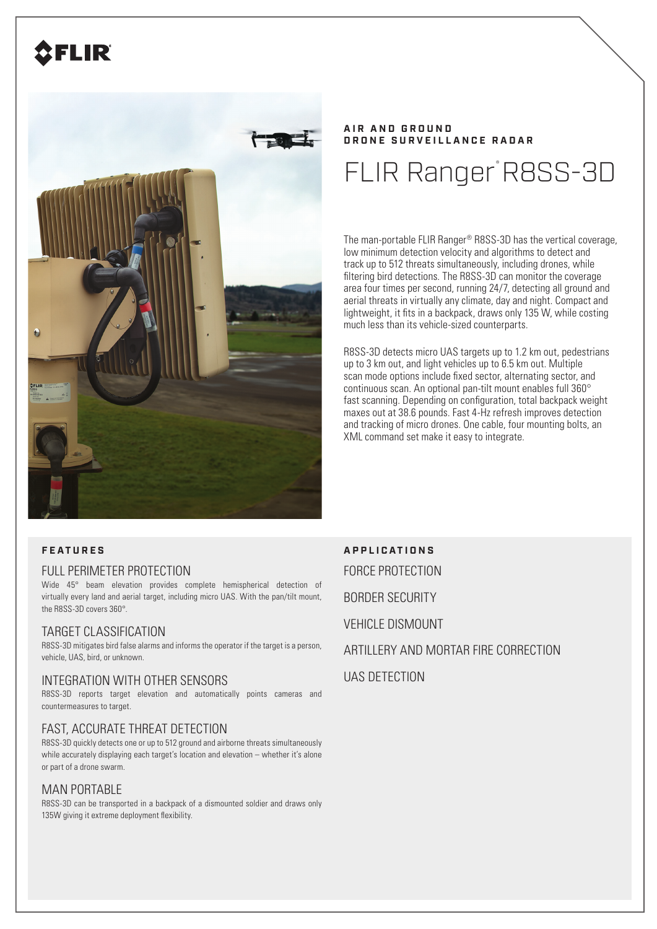# FLIR



# **A I R A N D G R O U N D DRONE SURVEILLANCE RADAR**

# FLIR Ranger R8SS-3D

The man-portable FLIR Ranger® R8SS-3D has the vertical coverage, low minimum detection velocity and algorithms to detect and track up to 512 threats simultaneously, including drones, while filtering bird detections. The R8SS-3D can monitor the coverage area four times per second, running 24/7, detecting all ground and aerial threats in virtually any climate, day and night. Compact and lightweight, it fits in a backpack, draws only 135 W, while costing much less than its vehicle-sized counterparts.

R8SS-3D detects micro UAS targets up to 1.2 km out, pedestrians up to 3 km out, and light vehicles up to 6.5 km out. Multiple scan mode options include fixed sector, alternating sector, and continuous scan. An optional pan-tilt mount enables full 360° fast scanning. Depending on configuration, total backpack weight maxes out at 38.6 pounds. Fast 4-Hz refresh improves detection and tracking of micro drones. One cable, four mounting bolts, an XML command set make it easy to integrate.

# FULL PERIMETER PROTECTION

Wide 45° beam elevation provides complete hemispherical detection of virtually every land and aerial target, including micro UAS. With the pan/tilt mount, the R8SS-3D covers 360°.

# TARGET CLASSIFICATION

R8SS-3D mitigates bird false alarms and informs the operator if the target is a person, vehicle, UAS, bird, or unknown.

# INTEGRATION WITH OTHER SENSORS

R8SS-3D reports target elevation and automatically points cameras and countermeasures to target.

# FAST, ACCURATE THREAT DETECTION

R8SS-3D quickly detects one or up to 512 ground and airborne threats simultaneously while accurately displaying each target's location and elevation – whether it's alone or part of a drone swarm.

# MAN PORTABLE

R8SS-3D can be transported in a backpack of a dismounted soldier and draws only 135W giving it extreme deployment flexibility.

**FEATURES APPLICATIONS** FORCE PROTECTION BORDER SECURITY **VEHICLE DISMOUNT** ARTILLERY AND MORTAR FIRE CORRECTION

UAS DETECTION